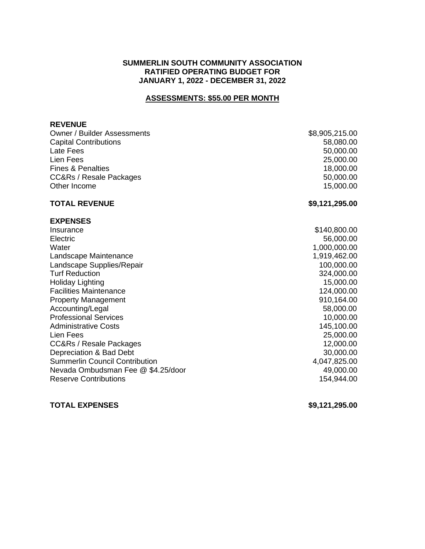### **SUMMERLIN SOUTH COMMUNITY ASSOCIATION RATIFIED OPERATING BUDGET FOR JANUARY 1, 2022 - DECEMBER 31, 2022**

## **ASSESSMENTS: \$55.00 PER MONTH**

#### **REVENUE**

| <b>Owner / Builder Assessments</b>    | \$8,905,215.00 |
|---------------------------------------|----------------|
| <b>Capital Contributions</b>          | 58,080.00      |
| Late Fees                             | 50,000.00      |
| Lien Fees                             | 25,000.00      |
| <b>Fines &amp; Penalties</b>          | 18,000.00      |
| <b>CC&amp;Rs / Resale Packages</b>    | 50,000.00      |
| Other Income                          | 15,000.00      |
| <b>TOTAL REVENUE</b>                  | \$9,121,295.00 |
| <b>EXPENSES</b>                       |                |
| Insurance                             | \$140,800.00   |
| Electric                              | 56,000.00      |
| Water                                 | 1,000,000.00   |
| Landscape Maintenance                 | 1,919,462.00   |
| Landscape Supplies/Repair             | 100,000.00     |
| <b>Turf Reduction</b>                 | 324,000.00     |
| <b>Holiday Lighting</b>               | 15,000.00      |
| <b>Facilities Maintenance</b>         | 124,000.00     |
| <b>Property Management</b>            | 910,164.00     |
| Accounting/Legal                      | 58,000.00      |
| <b>Professional Services</b>          | 10,000.00      |
| <b>Administrative Costs</b>           | 145,100.00     |
| Lien Fees                             | 25,000.00      |
| <b>CC&amp;Rs / Resale Packages</b>    | 12,000.00      |
| Depreciation & Bad Debt               | 30,000.00      |
| <b>Summerlin Council Contribution</b> | 4,047,825.00   |
| Nevada Ombudsman Fee @ \$4.25/door    | 49,000.00      |
| <b>Reserve Contributions</b>          | 154,944.00     |
|                                       |                |

## **TOTAL EXPENSES \$9,121,295.00**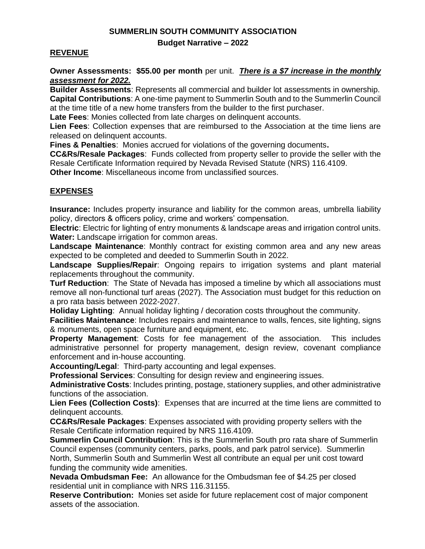# **SUMMERLIN SOUTH COMMUNITY ASSOCIATION**

## **Budget Narrative – 2022**

## **REVENUE**

**Owner Assessments: \$55.00 per month** per unit. *There is a \$7 increase in the monthly assessment for 2022.*

**Builder Assessments**: Represents all commercial and builder lot assessments in ownership. **Capital Contributions**: A one-time payment to Summerlin South and to the Summerlin Council at the time title of a new home transfers from the builder to the first purchaser.

**Late Fees**: Monies collected from late charges on delinquent accounts.

**Lien Fees**: Collection expenses that are reimbursed to the Association at the time liens are released on delinquent accounts.

**Fines & Penalties**: Monies accrued for violations of the governing documents**.**

**CC&Rs/Resale Packages**: Funds collected from property seller to provide the seller with the Resale Certificate Information required by Nevada Revised Statute (NRS) 116.4109.

**Other Income**: Miscellaneous income from unclassified sources.

## **EXPENSES**

**Insurance:** Includes property insurance and liability for the common areas, umbrella liability policy, directors & officers policy, crime and workers' compensation.

**Electric**: Electric for lighting of entry monuments & landscape areas and irrigation control units. **Water:** Landscape irrigation for common areas.

**Landscape Maintenance**: Monthly contract for existing common area and any new areas expected to be completed and deeded to Summerlin South in 2022.

**Landscape Supplies/Repair**: Ongoing repairs to irrigation systems and plant material replacements throughout the community.

**Turf Reduction**: The State of Nevada has imposed a timeline by which all associations must remove all non-functional turf areas (2027). The Association must budget for this reduction on a pro rata basis between 2022-2027.

**Holiday Lighting**: Annual holiday lighting / decoration costs throughout the community.

**Facilities Maintenance**: Includes repairs and maintenance to walls, fences, site lighting, signs & monuments, open space furniture and equipment, etc.

**Property Management**: Costs for fee management of the association. This includes administrative personnel for property management, design review, covenant compliance enforcement and in-house accounting.

**Accounting/Legal**: Third-party accounting and legal expenses.

**Professional Services**: Consulting for design review and engineering issues.

**Administrative Costs**: Includes printing, postage, stationery supplies, and other administrative functions of the association.

**Lien Fees (Collection Costs)**: Expenses that are incurred at the time liens are committed to delinquent accounts.

**CC&Rs/Resale Packages**: Expenses associated with providing property sellers with the Resale Certificate information required by NRS 116.4109.

 **Summerlin Council Contribution**: This is the Summerlin South pro rata share of Summerlin Council expenses (community centers, parks, pools, and park patrol service). Summerlin North, Summerlin South and Summerlin West all contribute an equal per unit cost toward funding the community wide amenities.

**Nevada Ombudsman Fee:** An allowance for the Ombudsman fee of \$4.25 per closed residential unit in compliance with NRS 116.31155.

**Reserve Contribution:** Monies set aside for future replacement cost of major component assets of the association.